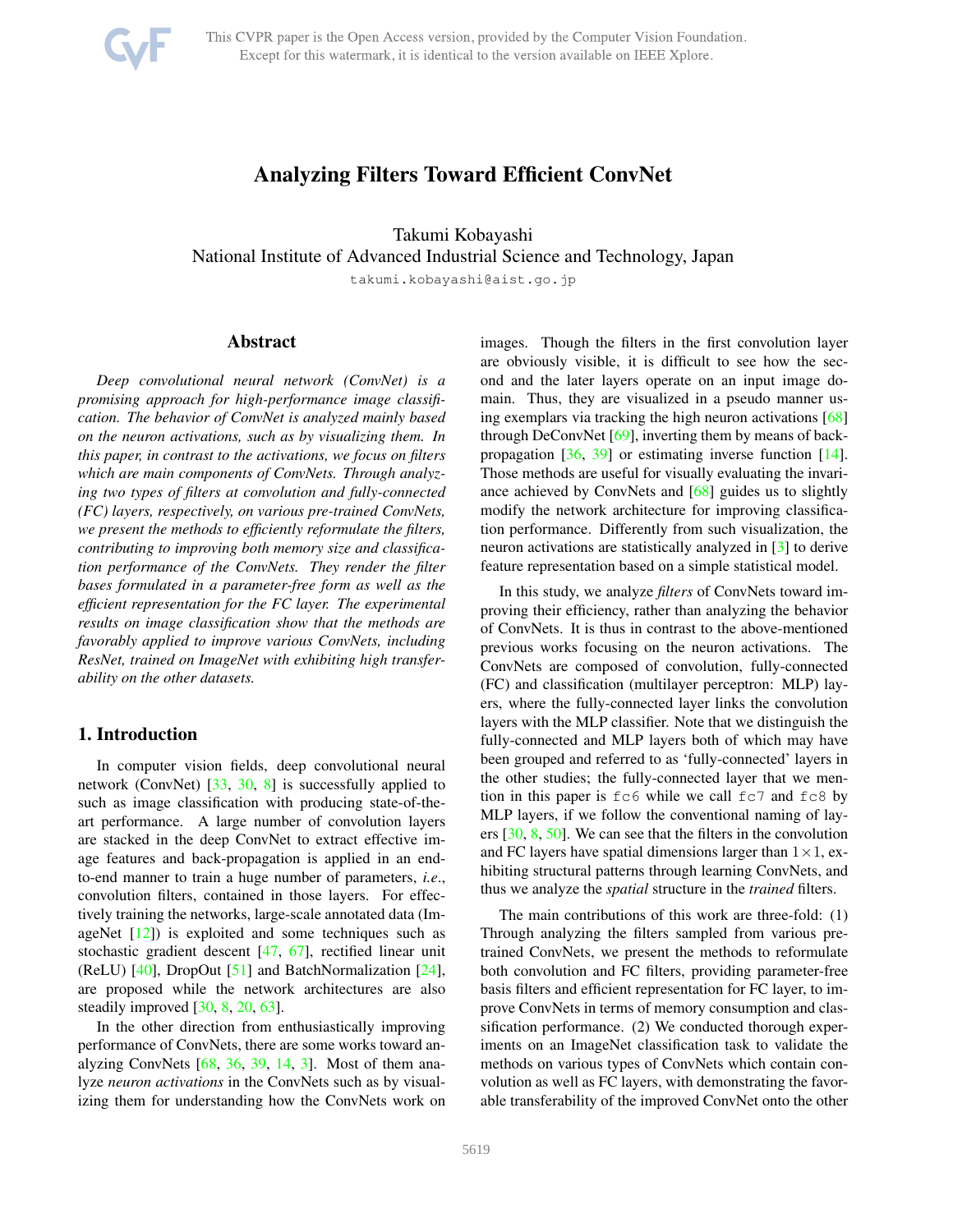

# Analyzing Filters Toward Efficient ConvNet

Takumi Kobayashi

National Institute of Advanced Industrial Science and Technology, Japan

takumi.kobayashi@aist.go.jp

# Abstract

*Deep convolutional neural network (ConvNet) is a promising approach for high-performance image classification. The behavior of ConvNet is analyzed mainly based on the neuron activations, such as by visualizing them. In this paper, in contrast to the activations, we focus on filters which are main components of ConvNets. Through analyzing two types of filters at convolution and fully-connected (FC) layers, respectively, on various pre-trained ConvNets, we present the methods to efficiently reformulate the filters, contributing to improving both memory size and classification performance of the ConvNets. They render the filter bases formulated in a parameter-free form as well as the efficient representation for the FC layer. The experimental results on image classification show that the methods are favorably applied to improve various ConvNets, including ResNet, trained on ImageNet with exhibiting high transferability on the other datasets.*

# 1. Introduction

In computer vision fields, deep convolutional neural network (ConvNet) [\[33,](#page-8-0) [30,](#page-8-1) [8\]](#page-8-2) is successfully applied to such as image classification with producing state-of-theart performance. A large number of convolution layers are stacked in the deep ConvNet to extract effective image features and back-propagation is applied in an endto-end manner to train a huge number of parameters, *i.e*., convolution filters, contained in those layers. For effectively training the networks, large-scale annotated data (ImageNet  $[12]$ ) is exploited and some techniques such as stochastic gradient descent [\[47,](#page-9-0) [67\]](#page-9-1), rectified linear unit (ReLU) [\[40\]](#page-9-2), DropOut [\[51\]](#page-9-3) and BatchNormalization [\[24\]](#page-8-4), are proposed while the network architectures are also steadily improved [\[30,](#page-8-1) [8,](#page-8-2) [20,](#page-8-5) [63\]](#page-9-4).

In the other direction from enthusiastically improving performance of ConvNets, there are some works toward analyzing ConvNets [\[68,](#page-9-5) [36,](#page-8-6) [39,](#page-8-7) [14,](#page-8-8) [3\]](#page-8-9). Most of them analyze *neuron activations* in the ConvNets such as by visualizing them for understanding how the ConvNets work on images. Though the filters in the first convolution layer are obviously visible, it is difficult to see how the second and the later layers operate on an input image domain. Thus, they are visualized in a pseudo manner using exemplars via tracking the high neuron activations [\[68\]](#page-9-5) through DeConvNet [\[69\]](#page-9-6), inverting them by means of backpropagation [\[36,](#page-8-6) [39\]](#page-8-7) or estimating inverse function [\[14\]](#page-8-8). Those methods are useful for visually evaluating the invariance achieved by ConvNets and [\[68\]](#page-9-5) guides us to slightly modify the network architecture for improving classification performance. Differently from such visualization, the neuron activations are statistically analyzed in [\[3\]](#page-8-9) to derive feature representation based on a simple statistical model.

In this study, we analyze *filters* of ConvNets toward improving their efficiency, rather than analyzing the behavior of ConvNets. It is thus in contrast to the above-mentioned previous works focusing on the neuron activations. The ConvNets are composed of convolution, fully-connected (FC) and classification (multilayer perceptron: MLP) layers, where the fully-connected layer links the convolution layers with the MLP classifier. Note that we distinguish the fully-connected and MLP layers both of which may have been grouped and referred to as 'fully-connected' layers in the other studies; the fully-connected layer that we mention in this paper is fc6 while we call fc7 and fc8 by MLP layers, if we follow the conventional naming of layers [\[30,](#page-8-1) [8,](#page-8-2) [50\]](#page-9-7). We can see that the filters in the convolution and FC layers have spatial dimensions larger than  $1 \times 1$ , exhibiting structural patterns through learning ConvNets, and thus we analyze the *spatial* structure in the *trained* filters.

The main contributions of this work are three-fold: (1) Through analyzing the filters sampled from various pretrained ConvNets, we present the methods to reformulate both convolution and FC filters, providing parameter-free basis filters and efficient representation for FC layer, to improve ConvNets in terms of memory consumption and classification performance. (2) We conducted thorough experiments on an ImageNet classification task to validate the methods on various types of ConvNets which contain convolution as well as FC layers, with demonstrating the favorable transferability of the improved ConvNet onto the other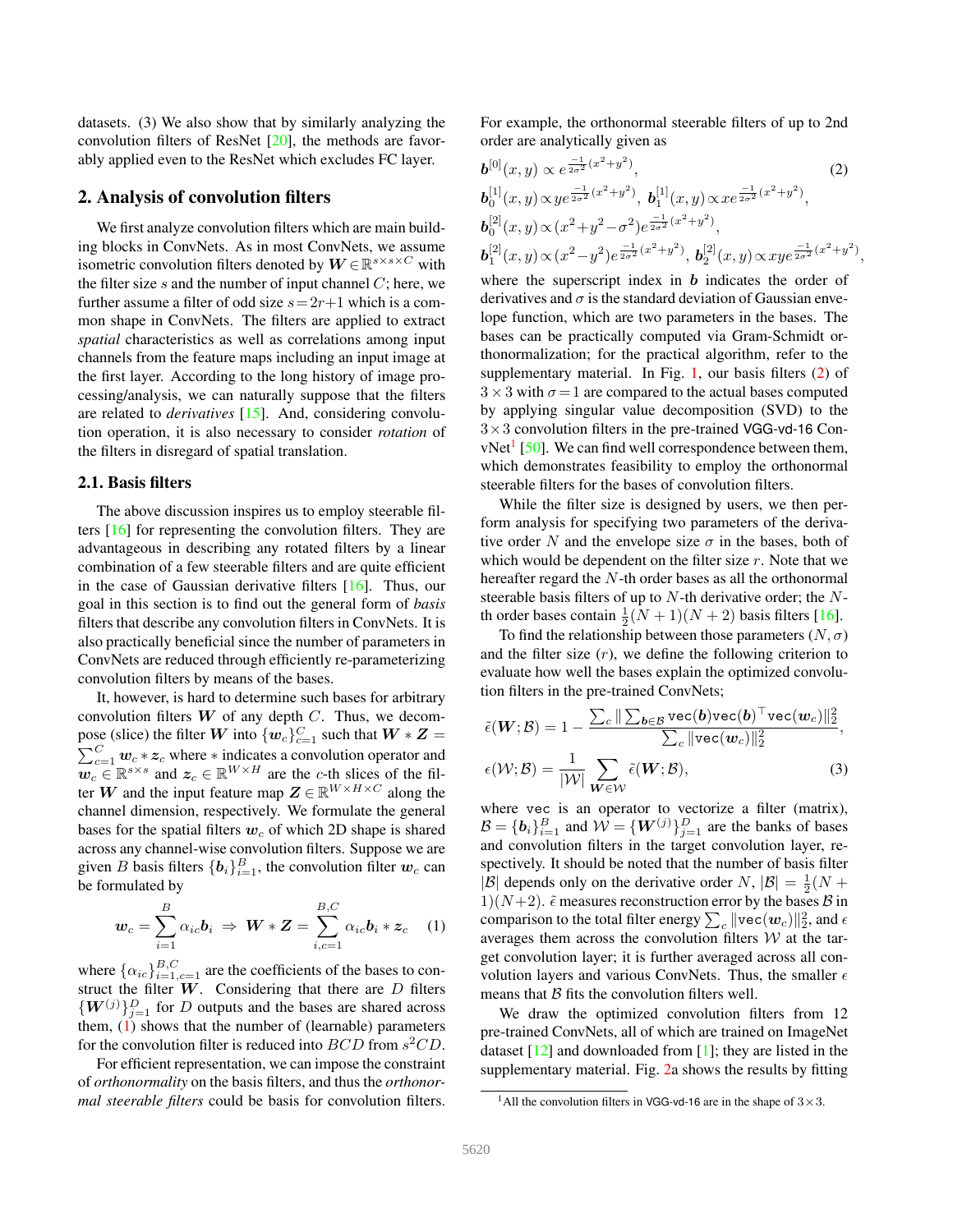datasets. (3) We also show that by similarly analyzing the convolution filters of ResNet [\[20\]](#page-8-5), the methods are favorably applied even to the ResNet which excludes FC layer.

## <span id="page-1-4"></span>2. Analysis of convolution filters

We first analyze convolution filters which are main building blocks in ConvNets. As in most ConvNets, we assume isometric convolution filters denoted by  $\boldsymbol{W} \in \mathbb{R}^{s \times s \times C}$  with the filter size s and the number of input channel  $C$ ; here, we further assume a filter of odd size  $s = 2r+1$  which is a common shape in ConvNets. The filters are applied to extract *spatial* characteristics as well as correlations among input channels from the feature maps including an input image at the first layer. According to the long history of image processing/analysis, we can naturally suppose that the filters are related to *derivatives* [\[15\]](#page-8-10). And, considering convolution operation, it is also necessary to consider *rotation* of the filters in disregard of spatial translation.

#### <span id="page-1-3"></span>2.1. Basis filters

The above discussion inspires us to employ steerable filters [\[16\]](#page-8-11) for representing the convolution filters. They are advantageous in describing any rotated filters by a linear combination of a few steerable filters and are quite efficient in the case of Gaussian derivative filters [\[16\]](#page-8-11). Thus, our goal in this section is to find out the general form of *basis* filters that describe any convolution filters in ConvNets. It is also practically beneficial since the number of parameters in ConvNets are reduced through efficiently re-parameterizing convolution filters by means of the bases.

It, however, is hard to determine such bases for arbitrary convolution filters  $W$  of any depth  $C$ . Thus, we decompose (slice) the filter W into  $\{w_c\}_{c=1}^C$  such that  $W * Z =$  $\sum_{c=1}^{C}$   $\boldsymbol{w}_c * \boldsymbol{z}_c$  where  $*$  indicates a convolution operator and  $\overline{\mathbf{w}_c} \in \mathbb{R}^{s \times s}$  and  $\mathbf{z}_c \in \mathbb{R}^{W \times H}$  are the c-th slices of the filter W and the input feature map  $\mathbf{Z} \in \mathbb{R}^{W \times H \times C}$  along the channel dimension, respectively. We formulate the general bases for the spatial filters  $w_c$  of which 2D shape is shared across any channel-wise convolution filters. Suppose we are given B basis filters  $\{b_i\}_{i=1}^B$ , the convolution filter  $w_c$  can be formulated by

<span id="page-1-0"></span>
$$
\boldsymbol{w}_c = \sum_{i=1}^B \alpha_{ic} \boldsymbol{b}_i \ \Rightarrow \ \boldsymbol{W} * \boldsymbol{Z} = \sum_{i,c=1}^{B,C} \alpha_{ic} \boldsymbol{b}_i * \boldsymbol{z}_c \quad (1)
$$

where  $\{\alpha_{ic}\}_{i=1,c=1}^{B,C}$  are the coefficients of the bases to construct the filter  $W$ . Considering that there are  $D$  filters  $\{W^{(j)}\}_{j=1}^D$  for D outputs and the bases are shared across them,  $(1)$  shows that the number of (learnable) parameters for the convolution filter is reduced into  $BCD$  from  $s^2CD$ .

For efficient representation, we can impose the constraint of *orthonormality* on the basis filters, and thus the *orthonormal steerable filters* could be basis for convolution filters. For example, the orthonormal steerable filters of up to 2nd order are analytically given as

$$
\mathbf{b}^{[0]}(x, y) \propto e^{\frac{-1}{2\sigma^2}(x^2 + y^2)},
$$
\n
$$
\mathbf{b}_0^{[1]}(x, y) \propto y e^{\frac{-1}{2\sigma^2}(x^2 + y^2)},
$$
\n
$$
\mathbf{b}_0^{[1]}(x, y) \propto (x^2 + y^2 - \sigma^2) e^{\frac{-1}{2\sigma^2}(x^2 + y^2)},
$$
\n
$$
\mathbf{b}_0^{[2]}(x, y) \propto (x^2 + y^2 - \sigma^2) e^{\frac{-1}{2\sigma^2}(x^2 + y^2)},
$$
\n
$$
\mathbf{b}_1^{[2]}(x, y) \propto (x^2 - y^2) e^{\frac{-1}{2\sigma^2}(x^2 + y^2)},
$$
\n
$$
\mathbf{b}_2^{[2]}(x, y) \propto x y e^{\frac{-1}{2\sigma^2}(x^2 + y^2)}
$$
\n(2)

<span id="page-1-1"></span>,

where the superscript index in  $\boldsymbol{b}$  indicates the order of derivatives and  $\sigma$  is the standard deviation of Gaussian envelope function, which are two parameters in the bases. The bases can be practically computed via Gram-Schmidt orthonormalization; for the practical algorithm, refer to the supplementary material. In Fig. [1,](#page-2-0) our basis filters [\(2\)](#page-1-1) of  $3 \times 3$  with  $\sigma = 1$  are compared to the actual bases computed by applying singular value decomposition (SVD) to the  $3\times3$  convolution filters in the pre-trained VGG-vd-16 Con-vNet<sup>[1](#page-1-2)</sup> [\[50\]](#page-9-7). We can find well correspondence between them, which demonstrates feasibility to employ the orthonormal steerable filters for the bases of convolution filters.

While the filter size is designed by users, we then perform analysis for specifying two parameters of the derivative order N and the envelope size  $\sigma$  in the bases, both of which would be dependent on the filter size  $r$ . Note that we hereafter regard the N-th order bases as all the orthonormal steerable basis filters of up to  $N$ -th derivative order; the  $N$ th order bases contain  $\frac{1}{2}(N+1)(N+2)$  basis filters [\[16\]](#page-8-11).

To find the relationship between those parameters  $(N, \sigma)$ and the filter size  $(r)$ , we define the following criterion to evaluate how well the bases explain the optimized convolution filters in the pre-trained ConvNets;

<span id="page-1-5"></span>
$$
\tilde{\epsilon}(\boldsymbol{W}; \mathcal{B}) = 1 - \frac{\sum_{c} \|\sum_{\boldsymbol{b} \in \mathcal{B}} \text{vec}(\boldsymbol{b}) \text{vec}(\boldsymbol{b})^{\top} \text{vec}(\boldsymbol{w}_{c})\|_{2}^{2}}{\sum_{c} \|\text{vec}(\boldsymbol{w}_{c})\|_{2}^{2}},
$$

$$
\epsilon(\mathcal{W}; \mathcal{B}) = \frac{1}{|\mathcal{W}|} \sum_{\boldsymbol{W} \in \mathcal{W}} \tilde{\epsilon}(\boldsymbol{W}; \mathcal{B}),
$$
(3)

where vec is an operator to vectorize a filter (matrix),  $\mathcal{B} = {\{\mathbf{b}_i\}}_{i=1}^B$  and  $\mathcal{W} = {\{\mathbf{W}^{(j)}\}}_{j=1}^D$  are the banks of bases and convolution filters in the target convolution layer, respectively. It should be noted that the number of basis filter  $|\mathcal{B}|$  depends only on the derivative order N,  $|\mathcal{B}| = \frac{1}{2}(N +$ 1)( $N+2$ ).  $\tilde{\epsilon}$  measures reconstruction error by the bases  $\beta$  in comparison to the total filter energy  $\sum_c \|\mathrm{vec}(\boldsymbol{w}_c)\|_2^2,$  and  $\epsilon$ averages them across the convolution filters  $W$  at the target convolution layer; it is further averaged across all convolution layers and various ConvNets. Thus, the smaller  $\epsilon$ means that  $\beta$  fits the convolution filters well.

We draw the optimized convolution filters from 12 pre-trained ConvNets, all of which are trained on ImageNet dataset  $[12]$  and downloaded from  $[1]$ ; they are listed in the supplementary material. Fig. [2a](#page-2-1) shows the results by fitting

<span id="page-1-2"></span><sup>&</sup>lt;sup>1</sup>All the convolution filters in VGG-vd-16 are in the shape of  $3 \times 3$ .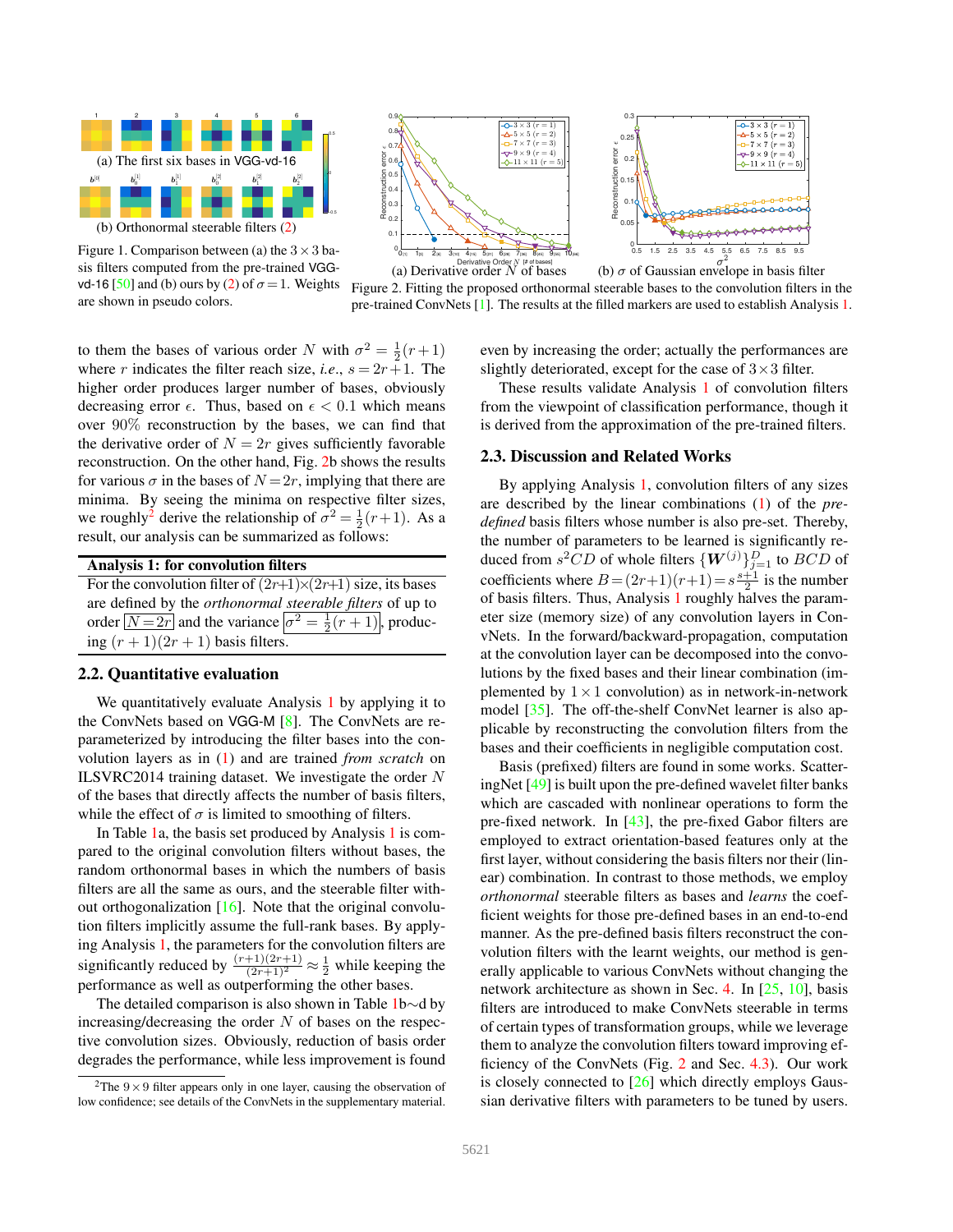

<span id="page-2-0"></span>Figure 1. Comparison between (a) the  $3 \times 3$  basis filters computed from the pre-trained VGG-vd-16 [\[50\]](#page-9-7) and (b) ours by [\(2\)](#page-1-1) of  $\sigma = 1$ . Weights are shown in pseudo colors.





<span id="page-2-1"></span>

to them the bases of various order N with  $\sigma^2 = \frac{1}{2}(r+1)$ where r indicates the filter reach size, *i.e.*,  $s = 2r + 1$ . The higher order produces larger number of bases, obviously decreasing error  $\epsilon$ . Thus, based on  $\epsilon$  < 0.1 which means over 90% reconstruction by the bases, we can find that the derivative order of  $N = 2r$  gives sufficiently favorable reconstruction. On the other hand, Fig. [2b](#page-2-1) shows the results for various  $\sigma$  in the bases of  $N = 2r$ , implying that there are minima. By seeing the minima on respective filter sizes, we roughly<sup>[2](#page-2-3)</sup> derive the relationship of  $\sigma^2 = \frac{1}{2}(r+1)$ . As a result, our analysis can be summarized as follows:

<span id="page-2-2"></span>

| Analysis 1: for convolution filters                                                   |
|---------------------------------------------------------------------------------------|
| For the convolution filter of $(2r+1)\times(2r+1)$ size, its bases                    |
| are defined by the <i>orthonormal steerable filters</i> of up to                      |
| order $\boxed{N=2r}$ and the variance $\boxed{\sigma^2 = \frac{1}{2}(r+1)}$ , produc- |
| ing $(r + 1)(2r + 1)$ basis filters.                                                  |

# 2.2. Quantitative evaluation

We quantitatively evaluate Analysis [1](#page-2-2) by applying it to the ConvNets based on VGG-M [\[8\]](#page-8-2). The ConvNets are reparameterized by introducing the filter bases into the convolution layers as in [\(1\)](#page-1-0) and are trained *from scratch* on ILSVRC2014 training dataset. We investigate the order  $N$ of the bases that directly affects the number of basis filters, while the effect of  $\sigma$  is limited to smoothing of filters.

In Table [1a](#page-3-0), the basis set produced by Analysis [1](#page-2-2) is compared to the original convolution filters without bases, the random orthonormal bases in which the numbers of basis filters are all the same as ours, and the steerable filter without orthogonalization [\[16\]](#page-8-11). Note that the original convolution filters implicitly assume the full-rank bases. By applying Analysis [1,](#page-2-2) the parameters for the convolution filters are significantly reduced by  $\frac{(r+1)(2r+1)}{(2r+1)^2} \approx \frac{1}{2}$  while keeping the performance as well as outperforming the other bases.

The detailed comparison is also shown in Table [1b](#page-3-0)∼d by increasing/decreasing the order  $N$  of bases on the respective convolution sizes. Obviously, reduction of basis order degrades the performance, while less improvement is found even by increasing the order; actually the performances are slightly deteriorated, except for the case of  $3 \times 3$  filter.

These results validate Analysis [1](#page-2-2) of convolution filters from the viewpoint of classification performance, though it is derived from the approximation of the pre-trained filters.

#### 2.3. Discussion and Related Works

By applying Analysis [1,](#page-2-2) convolution filters of any sizes are described by the linear combinations [\(1\)](#page-1-0) of the *predefined* basis filters whose number is also pre-set. Thereby, the number of parameters to be learned is significantly reduced from  $s^2CD$  of whole filters  $\{W^{(j)}\}_{j=1}^D$  to  $BCD$  of coefficients where  $B = (2r+1)(r+1) = s\frac{s+1}{2}$  is the number of basis filters. Thus, Analysis [1](#page-2-2) roughly halves the parameter size (memory size) of any convolution layers in ConvNets. In the forward/backward-propagation, computation at the convolution layer can be decomposed into the convolutions by the fixed bases and their linear combination (implemented by  $1 \times 1$  convolution) as in network-in-network model [\[35\]](#page-8-13). The off-the-shelf ConvNet learner is also applicable by reconstructing the convolution filters from the bases and their coefficients in negligible computation cost.

Basis (prefixed) filters are found in some works. ScatteringNet [\[49\]](#page-9-8) is built upon the pre-defined wavelet filter banks which are cascaded with nonlinear operations to form the pre-fixed network. In [\[43\]](#page-9-9), the pre-fixed Gabor filters are employed to extract orientation-based features only at the first layer, without considering the basis filters nor their (linear) combination. In contrast to those methods, we employ *orthonormal* steerable filters as bases and *learns* the coefficient weights for those pre-defined bases in an end-to-end manner. As the pre-defined basis filters reconstruct the convolution filters with the learnt weights, our method is generally applicable to various ConvNets without changing the network architecture as shown in Sec. [4.](#page-5-0) In [\[25,](#page-8-14) [10\]](#page-8-15), basis filters are introduced to make ConvNets steerable in terms of certain types of transformation groups, while we leverage them to analyze the convolution filters toward improving efficiency of the ConvNets (Fig. [2](#page-2-1) and Sec. [4.3\)](#page-6-0). Our work is closely connected to  $[26]$  which directly employs Gaussian derivative filters with parameters to be tuned by users.

<span id="page-2-3"></span><sup>&</sup>lt;sup>2</sup>The  $9 \times 9$  filter appears only in one layer, causing the observation of low confidence; see details of the ConvNets in the supplementary material.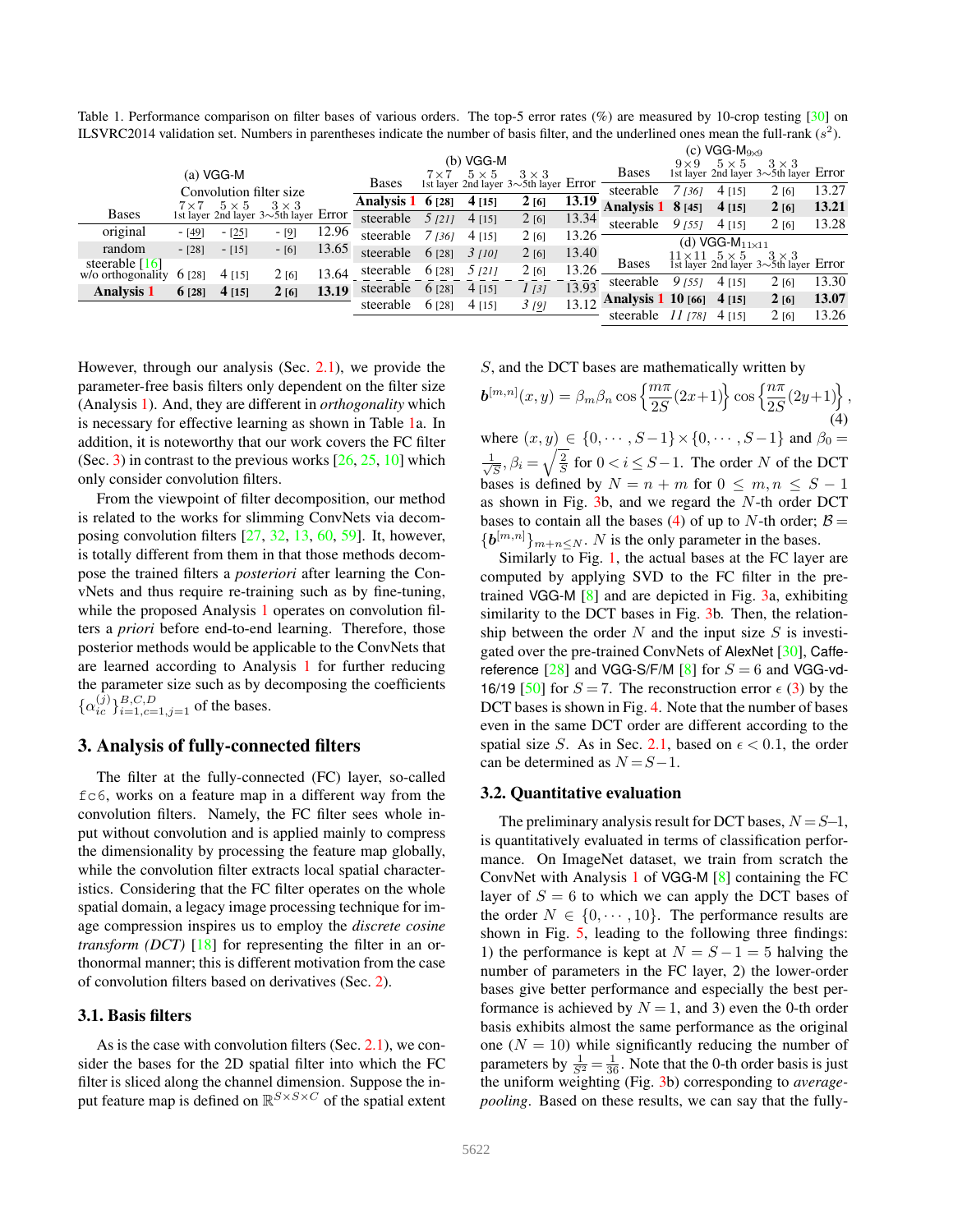<span id="page-3-0"></span>Table 1. Performance comparison on filter bases of various orders. The top-5 error rates (%) are measured by 10-crop testing [\[30\]](#page-8-1) on ILSVRC2014 validation set. Numbers in parentheses indicate the number of basis filter, and the underlined ones mean the full-rank  $(s^2)$ .

|                            |              |              |                                               |       |                      |        | $(c)$ VGG-M <sub>9×9</sub> |                                                                                 |        |                           |            |                            |                                                                                   |       |
|----------------------------|--------------|--------------|-----------------------------------------------|-------|----------------------|--------|----------------------------|---------------------------------------------------------------------------------|--------|---------------------------|------------|----------------------------|-----------------------------------------------------------------------------------|-------|
|                            |              |              |                                               |       |                      |        | (b) VGG-M                  |                                                                                 |        |                           | $9\times9$ | $5 \times 5$               | $3 \times 3$                                                                      |       |
|                            |              | $(a)$ VGG-M  |                                               |       |                      |        |                            | $7 \times 7$ $5 \times 5$ $3 \times 3$<br>1st layer 2nd layer 3~5th layer Error |        | <b>Bases</b>              |            |                            | 1st layer 2nd layer $3 \sim 5$ th layer Error                                     |       |
| Convolution filter size    |              |              | <b>Bases</b>                                  |       |                      |        |                            | steerable                                                                       | 7 (36) | $4$ [15]                  | 2[6]       | 13.27                      |                                                                                   |       |
|                            | $7 \times 7$ | $5 \times 5$ | $3 \times 3$                                  |       | Analysis $1 \t6[28]$ |        | $4$ [15]                   | 2[6]                                                                            | 13.19  | <b>Analysis 1 8 [45]</b>  |            | $4$ [15]                   | 2[6]                                                                              | 13.21 |
| <b>Bases</b>               |              |              | 1st layer 2nd layer $3 \sim 5$ th layer Error |       | steerable            | 5/211  | $4$ [15]                   | 2[6]                                                                            | 13.34  | steerable                 | 91551      | $4$ [15]                   | 2[6]                                                                              | 13.28 |
| original                   | $-[49]$      | $-[25]$      | - [9]                                         | 12.96 | steerable            | 7 1361 | $4$ [15]                   | 2[6]                                                                            | 13.26  |                           |            |                            |                                                                                   |       |
| random                     |              |              |                                               | 13.65 |                      |        |                            |                                                                                 |        |                           |            | (d) VGG- $M_{11\times 11}$ |                                                                                   |       |
|                            | $-[28]$      | $-[15]$      | $-[6]$                                        |       | steerable            | 6 [28] | 31101                      | 2[6]                                                                            | 13.40  |                           |            |                            |                                                                                   |       |
| steerable $[16]$           |              |              |                                               |       | steerable            | 6 [28] | 5/211                      | 2[6]                                                                            | 13.26  | <b>Bases</b>              |            |                            | $11 \times 11$ $5 \times 5$ $3 \times 3$<br>1st layer 2nd layer 3~5th layer Error |       |
| w/o orthogonality $6$ [28] |              | $4$ [15]     | 2[6]                                          | 13.64 |                      |        |                            |                                                                                 |        | steerable                 | 9 1551     | $4$ [15]                   | 2[6]                                                                              | 13.30 |
| <b>Analysis 1</b>          | $6$ [28]     | $4$ [15]     | 2[6]                                          | 13.19 | steerable            | 6 [28] | $4$ [15]                   | 1/31                                                                            | 13.93  |                           |            |                            |                                                                                   |       |
|                            |              |              |                                               |       | steerable            | 6 [28] | $4$ [15]                   | 3 <sub>[9]</sub>                                                                | 13.12  | <b>Analysis 1 10</b> [66] |            | $4$ [15]                   | 2[6]                                                                              | 13.07 |
|                            |              |              |                                               |       |                      |        |                            |                                                                                 |        | steerable 11 (78)         |            | 4 [15]                     | 2161                                                                              | 13.26 |

However, through our analysis (Sec. [2.1\)](#page-1-3), we provide the parameter-free basis filters only dependent on the filter size (Analysis [1\)](#page-2-2). And, they are different in *orthogonality* which is necessary for effective learning as shown in Table [1a](#page-3-0). In addition, it is noteworthy that our work covers the FC filter (Sec. [3\)](#page-3-1) in contrast to the previous works  $[26, 25, 10]$  $[26, 25, 10]$  $[26, 25, 10]$  $[26, 25, 10]$  which only consider convolution filters.

From the viewpoint of filter decomposition, our method is related to the works for slimming ConvNets via decomposing convolution filters [\[27,](#page-8-17) [32,](#page-8-18) [13,](#page-8-19) [60,](#page-9-10) [59\]](#page-9-11). It, however, is totally different from them in that those methods decompose the trained filters a *posteriori* after learning the ConvNets and thus require re-training such as by fine-tuning, while the proposed Analysis [1](#page-2-2) operates on convolution filters a *priori* before end-to-end learning. Therefore, those posterior methods would be applicable to the ConvNets that are learned according to Analysis [1](#page-2-2) for further reducing the parameter size such as by decomposing the coefficients  $\{\alpha_{ic}^{(j)}\}_{i=1,c=1,j=1}^{B,C,D}$  of the bases.

## <span id="page-3-1"></span>3. Analysis of fully-connected filters

The filter at the fully-connected (FC) layer, so-called fc6, works on a feature map in a different way from the convolution filters. Namely, the FC filter sees whole input without convolution and is applied mainly to compress the dimensionality by processing the feature map globally, while the convolution filter extracts local spatial characteristics. Considering that the FC filter operates on the whole spatial domain, a legacy image processing technique for image compression inspires us to employ the *discrete cosine transform (DCT)* [\[18\]](#page-8-20) for representing the filter in an orthonormal manner; this is different motivation from the case of convolution filters based on derivatives (Sec. [2\)](#page-1-4).

#### 3.1. Basis filters

As is the case with convolution filters (Sec. [2.1\)](#page-1-3), we consider the bases for the 2D spatial filter into which the FC filter is sliced along the channel dimension. Suppose the input feature map is defined on  $\mathbb{R}^{S \times S \times C}$  of the spatial extent S, and the DCT bases are mathematically written by

<span id="page-3-2"></span>
$$
b^{[m,n]}(x,y) = \beta_m \beta_n \cos \left\{ \frac{m\pi}{2S} (2x+1) \right\} \cos \left\{ \frac{n\pi}{2S} (2y+1) \right\},\tag{4}
$$
  
where  $(x, y) \in \{0, \dots, S-1\} \times \{0, \dots, S-1\}$  and  $\beta_n =$ 

where  $(x, y) \in \{0, \dots, S-1\} \times \{0, \dots, S-1\}$  and  $\beta_0 =$  $\frac{1}{\sqrt{2}}$  $\frac{1}{\sqrt{S}}$ ,  $\beta_i = \sqrt{\frac{2}{S}}$  for  $0 < i \leq S-1$ . The order N of the DCT bases is defined by  $N = n + m$  for  $0 \le m, n \le S - 1$ as shown in Fig.  $3b$ , and we regard the N-th order DCT bases to contain all the bases [\(4\)](#page-3-2) of up to N-th order;  $\beta$  =  ${\{b^{[m,n]}\}}_{m+n\leq N}$ . N is the only parameter in the bases.

Similarly to Fig. [1,](#page-2-0) the actual bases at the FC layer are computed by applying SVD to the FC filter in the pretrained VGG-M [\[8\]](#page-8-2) and are depicted in Fig. [3a](#page-4-0), exhibiting similarity to the DCT bases in Fig. [3b](#page-4-0). Then, the relationship between the order  $N$  and the input size  $S$  is investigated over the pre-trained ConvNets of AlexNet [\[30\]](#page-8-1), Caffereference  $[28]$  and VGG-S/F/M  $[8]$  for  $S = 6$  and VGG-vd-16/19 [\[50\]](#page-9-7) for  $S = 7$ . The reconstruction error  $\epsilon$  [\(3\)](#page-1-5) by the DCT bases is shown in Fig. [4.](#page-4-1) Note that the number of bases even in the same DCT order are different according to the spatial size S. As in Sec. [2.1,](#page-1-3) based on  $\epsilon$  < 0.1, the order can be determined as  $N = S - 1$ .

#### <span id="page-3-3"></span>3.2. Quantitative evaluation

The preliminary analysis result for DCT bases,  $N = S-1$ , is quantitatively evaluated in terms of classification performance. On ImageNet dataset, we train from scratch the ConvNet with Analysis [1](#page-2-2) of VGG-M [\[8\]](#page-8-2) containing the FC layer of  $S = 6$  to which we can apply the DCT bases of the order  $N \in \{0, \dots, 10\}$ . The performance results are shown in Fig. [5,](#page-4-2) leading to the following three findings: 1) the performance is kept at  $N = S - 1 = 5$  halving the number of parameters in the FC layer, 2) the lower-order bases give better performance and especially the best performance is achieved by  $N = 1$ , and 3) even the 0-th order basis exhibits almost the same performance as the original one  $(N = 10)$  while significantly reducing the number of parameters by  $\frac{1}{S^2} = \frac{1}{36}$ . Note that the 0-th order basis is just the uniform weighting (Fig. [3b](#page-4-0)) corresponding to *averagepooling*. Based on these results, we can say that the fully-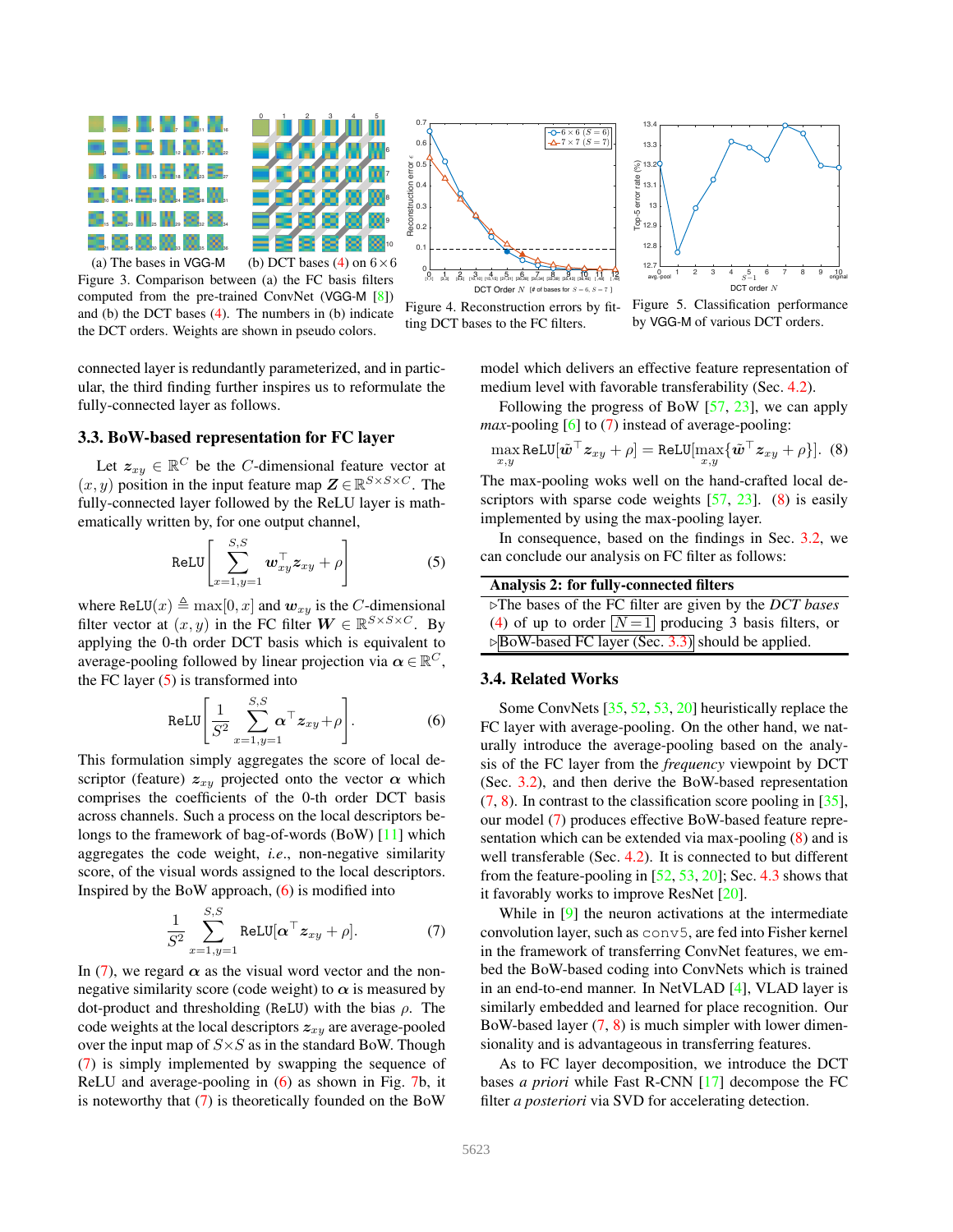

<span id="page-4-0"></span>Figure 3. Comparison between (a) the FC basis filters computed from the pre-trained ConvNet (VGG-M [\[8\]](#page-8-2)) and (b) the DCT bases [\(4\)](#page-3-2). The numbers in (b) indicate the DCT orders. Weights are shown in pseudo colors.

connected layer is redundantly parameterized, and in particular, the third finding further inspires us to reformulate the fully-connected layer as follows.

## <span id="page-4-7"></span>3.3. BoW-based representation for FC layer

Let  $z_{xy} \in \mathbb{R}^C$  be the C-dimensional feature vector at  $(x, y)$  position in the input feature map  $\mathbf{Z} \in \mathbb{R}^{S \times S \times C}$ . The fully-connected layer followed by the ReLU layer is mathematically written by, for one output channel,

<span id="page-4-3"></span>
$$
ReLU \left[ \sum_{x=1, y=1}^{S, S} \boldsymbol{w}_{xy}^{\top} \boldsymbol{z}_{xy} + \rho \right]
$$
 (5)

where ReLU(x)  $\triangleq$  max[0, x] and  $w_{xy}$  is the C-dimensional filter vector at  $(x, y)$  in the FC filter  $W \in \mathbb{R}^{S \times S \times C}$ . By applying the 0-th order DCT basis which is equivalent to average-pooling followed by linear projection via  $\alpha \in \mathbb{R}^C$ , the FC layer  $(5)$  is transformed into

<span id="page-4-4"></span>
$$
\text{ReLU}\left[\frac{1}{S^2}\sum_{x=1,y=1}^{S,S}\boldsymbol{\alpha}^\top\boldsymbol{z}_{xy}+\rho\right].\tag{6}
$$

This formulation simply aggregates the score of local descriptor (feature)  $z_{xy}$  projected onto the vector  $\alpha$  which comprises the coefficients of the 0-th order DCT basis across channels. Such a process on the local descriptors belongs to the framework of bag-of-words (BoW) [\[11\]](#page-8-22) which aggregates the code weight, *i.e*., non-negative similarity score, of the visual words assigned to the local descriptors. Inspired by the BoW approach,  $(6)$  is modified into

<span id="page-4-5"></span>
$$
\frac{1}{S^2} \sum_{x=1,y=1}^{S,S} \text{ReLU}[\boldsymbol{\alpha}^\top \boldsymbol{z}_{xy} + \rho]. \tag{7}
$$

In [\(7\)](#page-4-5), we regard  $\alpha$  as the visual word vector and the nonnegative similarity score (code weight) to  $\alpha$  is measured by dot-product and thresholding (ReLU) with the bias  $\rho$ . The code weights at the local descriptors  $z_{xy}$  are average-pooled over the input map of  $S \times S$  as in the standard BoW. Though [\(7\)](#page-4-5) is simply implemented by swapping the sequence of ReLU and average-pooling in [\(6\)](#page-4-4) as shown in Fig. [7b](#page-6-1), it is noteworthy that [\(7\)](#page-4-5) is theoretically founded on the BoW



<span id="page-4-1"></span>Figure 4. Reconstruction errors by fitting DCT bases to the FC filters.



<span id="page-4-2"></span>Figure 5. Classification performance by VGG-M of various DCT orders.

model which delivers an effective feature representation of medium level with favorable transferability (Sec. [4.2\)](#page-6-2).

Following the progress of BoW  $[57, 23]$  $[57, 23]$ , we can apply *max*-pooling [\[6\]](#page-8-24) to [\(7\)](#page-4-5) instead of average-pooling:

<span id="page-4-6"></span>
$$
\max_{x,y} \text{ReLU}[\tilde{\boldsymbol{w}}^{\top} \boldsymbol{z}_{xy} + \rho] = \text{ReLU}[\max_{x,y} {\{\tilde{\boldsymbol{w}}^{\top} \boldsymbol{z}_{xy} + \rho\}}].
$$
 (8)

The max-pooling woks well on the hand-crafted local de-scriptors with sparse code weights [\[57,](#page-9-12) [23\]](#page-8-23). [\(8\)](#page-4-6) is easily implemented by using the max-pooling layer.

In consequence, based on the findings in Sec. [3.2,](#page-3-3) we can conclude our analysis on FC filter as follows:

#### <span id="page-4-8"></span>Analysis 2: for fully-connected filters

| $\triangleright$ The bases of the FC filter are given by the <i>DCT bases</i> |
|-------------------------------------------------------------------------------|
| (4) of up to order $\boxed{N=1}$ producing 3 basis filters, or                |
| $\triangleright$ BoW-based FC layer (Sec. 3.3) should be applied.             |

#### 3.4. Related Works

Some ConvNets [\[35,](#page-8-13) [52,](#page-9-13) [53,](#page-9-14) [20\]](#page-8-5) heuristically replace the FC layer with average-pooling. On the other hand, we naturally introduce the average-pooling based on the analysis of the FC layer from the *frequency* viewpoint by DCT (Sec. [3.2\)](#page-3-3), and then derive the BoW-based representation  $(7, 8)$  $(7, 8)$  $(7, 8)$ . In contrast to the classification score pooling in [\[35\]](#page-8-13), our model [\(7\)](#page-4-5) produces effective BoW-based feature representation which can be extended via max-pooling [\(8\)](#page-4-6) and is well transferable (Sec. [4.2\)](#page-6-2). It is connected to but different from the feature-pooling in  $[52, 53, 20]$  $[52, 53, 20]$  $[52, 53, 20]$  $[52, 53, 20]$  $[52, 53, 20]$ ; Sec. [4.3](#page-6-0) shows that it favorably works to improve ResNet [\[20\]](#page-8-5).

While in [\[9\]](#page-8-25) the neuron activations at the intermediate convolution layer, such as conv5, are fed into Fisher kernel in the framework of transferring ConvNet features, we embed the BoW-based coding into ConvNets which is trained in an end-to-end manner. In NetVLAD [\[4\]](#page-8-26), VLAD layer is similarly embedded and learned for place recognition. Our BoW-based layer [\(7,](#page-4-5) [8\)](#page-4-6) is much simpler with lower dimensionality and is advantageous in transferring features.

As to FC layer decomposition, we introduce the DCT bases *a priori* while Fast R-CNN [\[17\]](#page-8-27) decompose the FC filter *a posteriori* via SVD for accelerating detection.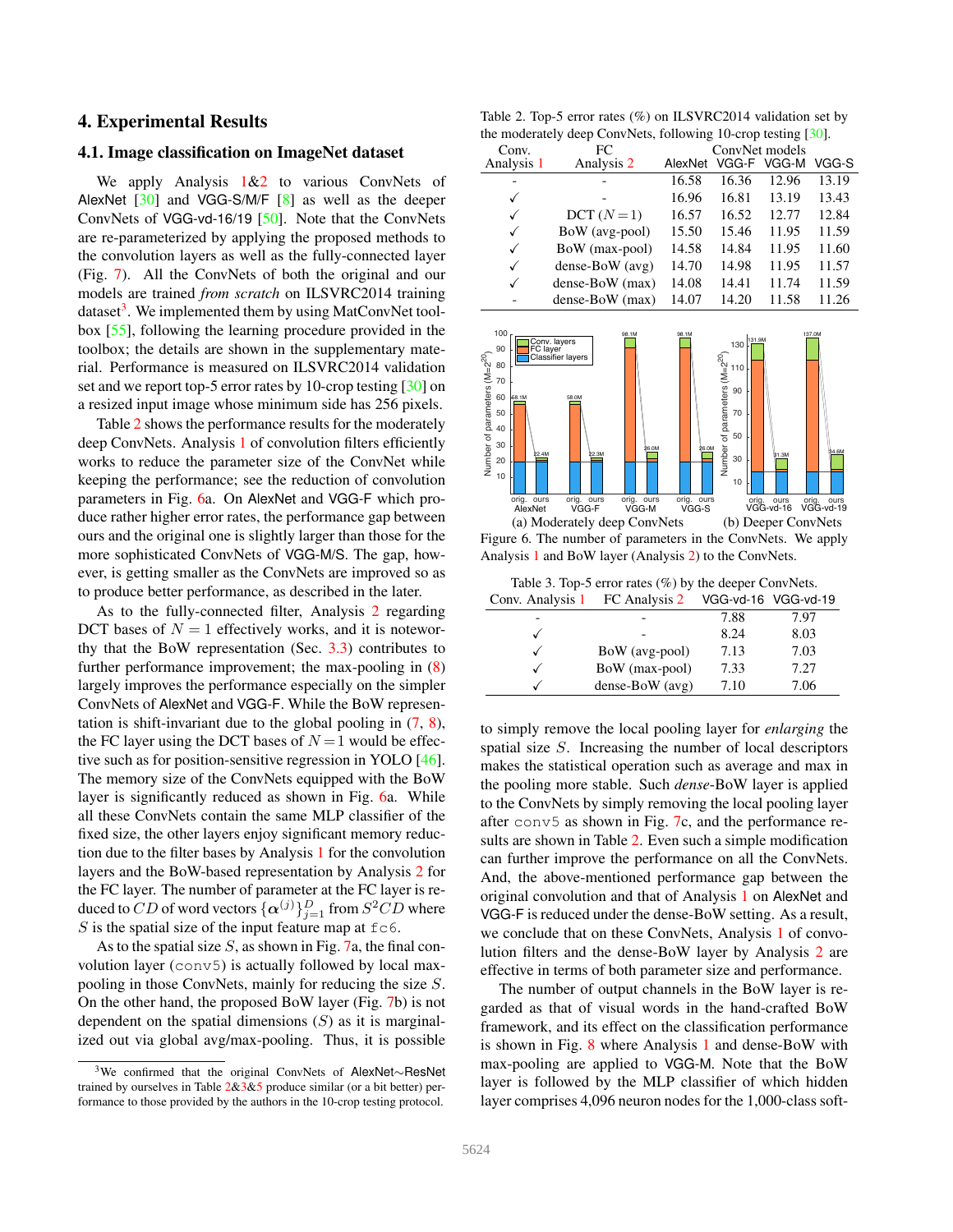## <span id="page-5-0"></span>4. Experimental Results

## 4.1. Image classification on ImageNet dataset

We apply Analysis  $1\&2$  $1\&2$  $1\&2$  to various ConvNets of AlexNet  $[30]$  and VGG-S/M/F  $[8]$  as well as the deeper ConvNets of VGG-vd-16/19 [\[50\]](#page-9-7). Note that the ConvNets are re-parameterized by applying the proposed methods to the convolution layers as well as the fully-connected layer (Fig. [7\)](#page-6-1). All the ConvNets of both the original and our models are trained *from scratch* on ILSVRC2014 training dataset<sup>[3](#page-5-1)</sup>. We implemented them by using MatConvNet toolbox [\[55\]](#page-9-15), following the learning procedure provided in the toolbox; the details are shown in the supplementary material. Performance is measured on ILSVRC2014 validation set and we report top-5 error rates by 10-crop testing [\[30\]](#page-8-1) on a resized input image whose minimum side has 256 pixels.

Table [2](#page-5-2) shows the performance results for the moderately deep ConvNets. Analysis [1](#page-2-2) of convolution filters efficiently works to reduce the parameter size of the ConvNet while keeping the performance; see the reduction of convolution parameters in Fig. [6a](#page-5-3). On AlexNet and VGG-F which produce rather higher error rates, the performance gap between ours and the original one is slightly larger than those for the more sophisticated ConvNets of VGG-M/S. The gap, however, is getting smaller as the ConvNets are improved so as to produce better performance, as described in the later.

As to the fully-connected filter, Analysis [2](#page-4-8) regarding DCT bases of  $N = 1$  effectively works, and it is noteworthy that the BoW representation (Sec. [3.3\)](#page-4-7) contributes to further performance improvement; the max-pooling in  $(8)$ largely improves the performance especially on the simpler ConvNets of AlexNet and VGG-F. While the BoW representation is shift-invariant due to the global pooling in  $(7, 8)$  $(7, 8)$  $(7, 8)$ , the FC layer using the DCT bases of  $N = 1$  would be effective such as for position-sensitive regression in YOLO [\[46\]](#page-9-16). The memory size of the ConvNets equipped with the BoW layer is significantly reduced as shown in Fig. [6a](#page-5-3). While all these ConvNets contain the same MLP classifier of the fixed size, the other layers enjoy significant memory reduction due to the filter bases by Analysis [1](#page-2-2) for the convolution layers and the BoW-based representation by Analysis [2](#page-4-8) for the FC layer. The number of parameter at the FC layer is reduced to  $CD$  of word vectors  $\{\boldsymbol{\alpha}^{(j)}\}_{j=1}^D$  from  $S^2CD$  where S is the spatial size of the input feature map at  $\epsilon \in \epsilon$ .

As to the spatial size  $S$ , as shown in Fig. [7a](#page-6-1), the final convolution layer (conv5) is actually followed by local maxpooling in those ConvNets, mainly for reducing the size S. On the other hand, the proposed BoW layer (Fig. [7b](#page-6-1)) is not dependent on the spatial dimensions  $(S)$  as it is marginalized out via global avg/max-pooling. Thus, it is possible

<span id="page-5-2"></span>Table 2. Top-5 error rates (%) on ILSVRC2014 validation set by the moderately deep ConvNets, following 10-crop testing [\[30\]](#page-8-1).

| Conv.        | FC                |         | ConvNet models |             |       |
|--------------|-------------------|---------|----------------|-------------|-------|
| Analysis 1   | Analysis 2        | AlexNet |                | VGG-F VGG-M | VGG-S |
|              |                   | 16.58   | 16.36          | 12.96       | 13.19 |
| $\checkmark$ |                   | 16.96   | 16.81          | 13.19       | 13.43 |
| $\checkmark$ | $DCT (N=1)$       | 16.57   | 16.52          | 12.77       | 12.84 |
| ✓            | BoW (avg-pool)    | 15.50   | 15.46          | 11.95       | 11.59 |
| ✓            | BoW (max-pool)    | 14.58   | 14.84          | 11.95       | 11.60 |
| √            | $dense-BoW (avg)$ | 14.70   | 14.98          | 11.95       | 11.57 |
| ✓            | dense-BoW (max)   | 14.08   | 14.41          | 11.74       | 11.59 |
|              | dense-BoW (max)   | 14.07   | 14.20          | 11.58       | 11.26 |



<span id="page-5-3"></span>Figure 6. The number of parameters in the ConvNets. We apply Analysis [1](#page-2-2) and BoW layer (Analysis [2\)](#page-4-8) to the ConvNets.

<span id="page-5-4"></span>Table 3. Top-5 error rates (%) by the deeper ConvNets. Conv. Analysis [1](#page-2-2) FC Analysis [2](#page-4-8) VGG-vd-16 VGG-vd-19

| COIIV. AIRIYSIS 1 | $\Gamma$ C Allalysis $\angle$ | vaa-va-io vaa-va-is |      |
|-------------------|-------------------------------|---------------------|------|
|                   |                               | 7.88                | 7.97 |
|                   |                               | 8.24                | 8.03 |
|                   | BoW (avg-pool)                | 7.13                | 7.03 |
|                   | BoW (max-pool)                | 7.33                | 7.27 |
|                   | $dense-BoW (avg)$             | 7.10                | 7.06 |
|                   |                               |                     |      |

to simply remove the local pooling layer for *enlarging* the spatial size S. Increasing the number of local descriptors makes the statistical operation such as average and max in the pooling more stable. Such *dense*-BoW layer is applied to the ConvNets by simply removing the local pooling layer after  $conv5$  as shown in Fig. [7c](#page-6-1), and the performance results are shown in Table [2.](#page-5-2) Even such a simple modification can further improve the performance on all the ConvNets. And, the above-mentioned performance gap between the original convolution and that of Analysis [1](#page-2-2) on AlexNet and VGG-F is reduced under the dense-BoW setting. As a result, we conclude that on these ConvNets, Analysis [1](#page-2-2) of convolution filters and the dense-BoW layer by Analysis [2](#page-4-8) are effective in terms of both parameter size and performance.

The number of output channels in the BoW layer is regarded as that of visual words in the hand-crafted BoW framework, and its effect on the classification performance is shown in Fig. [8](#page-6-3) where Analysis [1](#page-2-2) and dense-BoW with max-pooling are applied to VGG-M. Note that the BoW layer is followed by the MLP classifier of which hidden layer comprises 4,096 neuron nodes for the 1,000-class soft-

<span id="page-5-1"></span><sup>3</sup>We confirmed that the original ConvNets of AlexNet∼ResNet trained by ourselves in Table  $2&3&5$  $2&3&5$  $2&3&5$  produce similar (or a bit better) performance to those provided by the authors in the 10-crop testing protocol.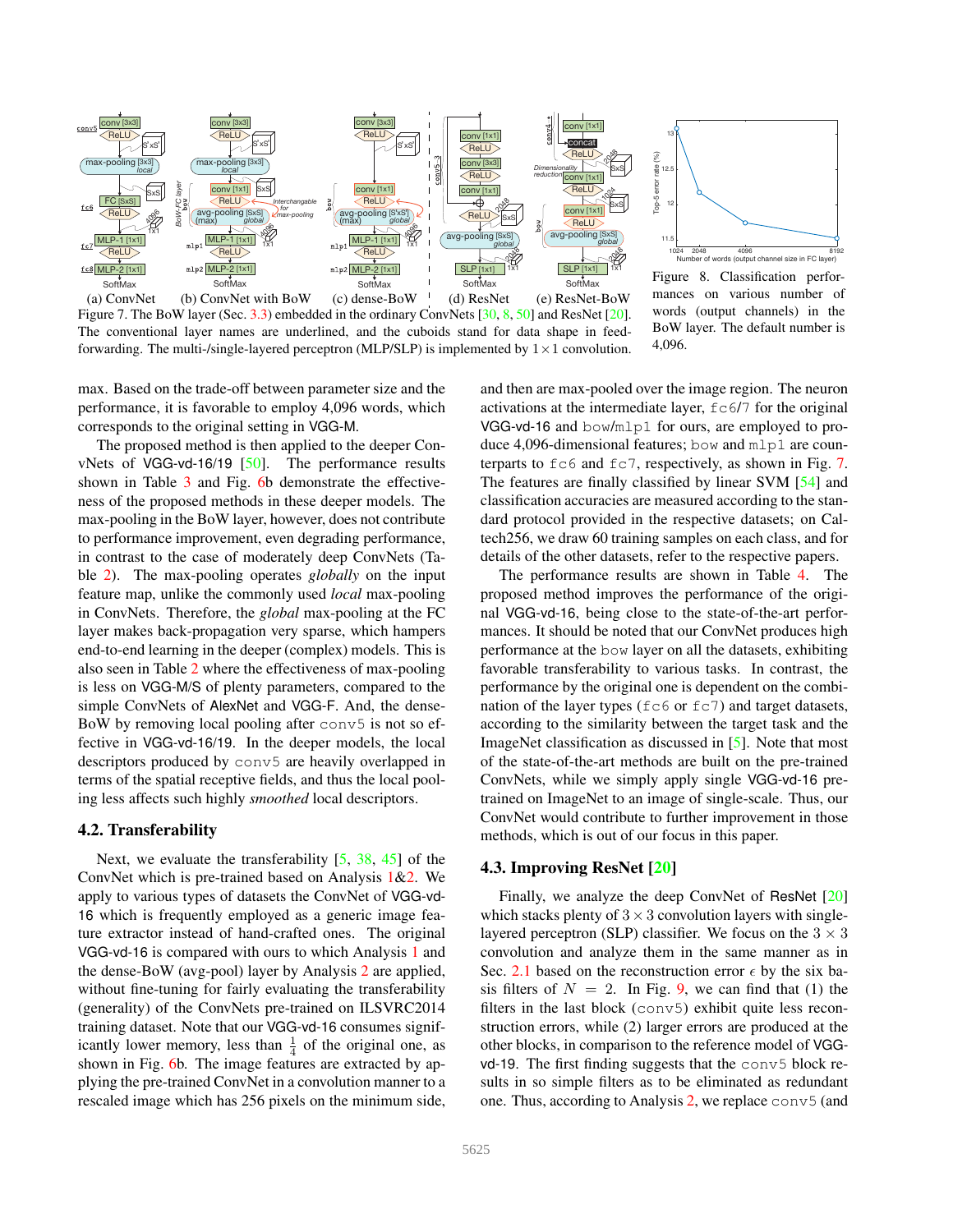



<span id="page-6-3"></span>Figure 8. Classification performances on various number of words (output channels) in the BoW layer. The default number is 4,096.

<span id="page-6-1"></span>(a) ConvNet (b) ConvNet with BoW (c) dense-BoW  $\pm$  (d) ResNet (e) ResNet-BoW Figure 7. The BoW layer (Sec. [3.3\)](#page-4-7) embedded in the ordinary ConvNets [\[30,](#page-8-1) [8,](#page-8-2) [50\]](#page-9-7) and ResNet [\[20\]](#page-8-5). The conventional layer names are underlined, and the cuboids stand for data shape in feedforwarding. The multi-/single-layered perceptron (MLP/SLP) is implemented by  $1 \times 1$  convolution.

max. Based on the trade-off between parameter size and the performance, it is favorable to employ 4,096 words, which corresponds to the original setting in VGG-M.

The proposed method is then applied to the deeper ConvNets of VGG-vd-16/19 [\[50\]](#page-9-7). The performance results shown in Table [3](#page-5-4) and Fig. [6b](#page-5-3) demonstrate the effectiveness of the proposed methods in these deeper models. The max-pooling in the BoW layer, however, does not contribute to performance improvement, even degrading performance, in contrast to the case of moderately deep ConvNets (Table [2\)](#page-5-2). The max-pooling operates *globally* on the input feature map, unlike the commonly used *local* max-pooling in ConvNets. Therefore, the *global* max-pooling at the FC layer makes back-propagation very sparse, which hampers end-to-end learning in the deeper (complex) models. This is also seen in Table [2](#page-5-2) where the effectiveness of max-pooling is less on VGG-M/S of plenty parameters, compared to the simple ConvNets of AlexNet and VGG-F. And, the dense-BoW by removing local pooling after conv5 is not so effective in VGG-vd-16/19. In the deeper models, the local descriptors produced by conv5 are heavily overlapped in terms of the spatial receptive fields, and thus the local pooling less affects such highly *smoothed* local descriptors.

# <span id="page-6-2"></span>4.2. Transferability

Next, we evaluate the transferability [\[5,](#page-8-28) [38,](#page-8-29) [45\]](#page-9-17) of the ConvNet which is pre-trained based on Analysis  $1&2$  $1&2$ . We apply to various types of datasets the ConvNet of VGG-vd-16 which is frequently employed as a generic image feature extractor instead of hand-crafted ones. The original VGG-vd-16 is compared with ours to which Analysis [1](#page-2-2) and the dense-BoW (avg-pool) layer by Analysis [2](#page-4-8) are applied, without fine-tuning for fairly evaluating the transferability (generality) of the ConvNets pre-trained on ILSVRC2014 training dataset. Note that our VGG-vd-16 consumes significantly lower memory, less than  $\frac{1}{4}$  of the original one, as shown in Fig. [6b](#page-5-3). The image features are extracted by applying the pre-trained ConvNet in a convolution manner to a rescaled image which has 256 pixels on the minimum side,

and then are max-pooled over the image region. The neuron activations at the intermediate layer,  $f c \frac{6}{7}$  for the original VGG-vd-16 and bow/mlp1 for ours, are employed to produce 4,096-dimensional features; bow and mlp1 are counterparts to  $f \circ \delta$  and  $f \circ \delta$ , respectively, as shown in Fig. [7.](#page-6-1) The features are finally classified by linear SVM [\[54\]](#page-9-18) and classification accuracies are measured according to the standard protocol provided in the respective datasets; on Caltech256, we draw 60 training samples on each class, and for details of the other datasets, refer to the respective papers.

The performance results are shown in Table [4.](#page-7-1) The proposed method improves the performance of the original VGG-vd-16, being close to the state-of-the-art performances. It should be noted that our ConvNet produces high performance at the bow layer on all the datasets, exhibiting favorable transferability to various tasks. In contrast, the performance by the original one is dependent on the combination of the layer types ( $f \in \mathcal{F}$  or  $f \in \mathcal{T}$ ) and target datasets, according to the similarity between the target task and the ImageNet classification as discussed in [\[5\]](#page-8-28). Note that most of the state-of-the-art methods are built on the pre-trained ConvNets, while we simply apply single VGG-vd-16 pretrained on ImageNet to an image of single-scale. Thus, our ConvNet would contribute to further improvement in those methods, which is out of our focus in this paper.

# <span id="page-6-0"></span>4.3. Improving ResNet [\[20\]](#page-8-5)

Finally, we analyze the deep ConvNet of ResNet [\[20\]](#page-8-5) which stacks plenty of  $3 \times 3$  convolution layers with singlelayered perceptron (SLP) classifier. We focus on the  $3 \times 3$ convolution and analyze them in the same manner as in Sec. [2.1](#page-1-3) based on the reconstruction error  $\epsilon$  by the six basis filters of  $N = 2$ . In Fig. [9,](#page-7-2) we can find that (1) the filters in the last block (conv5) exhibit quite less reconstruction errors, while (2) larger errors are produced at the other blocks, in comparison to the reference model of VGGvd-19. The first finding suggests that the conv5 block results in so simple filters as to be eliminated as redundant one. Thus, according to Analysis [2,](#page-4-8) we replace conv5 (and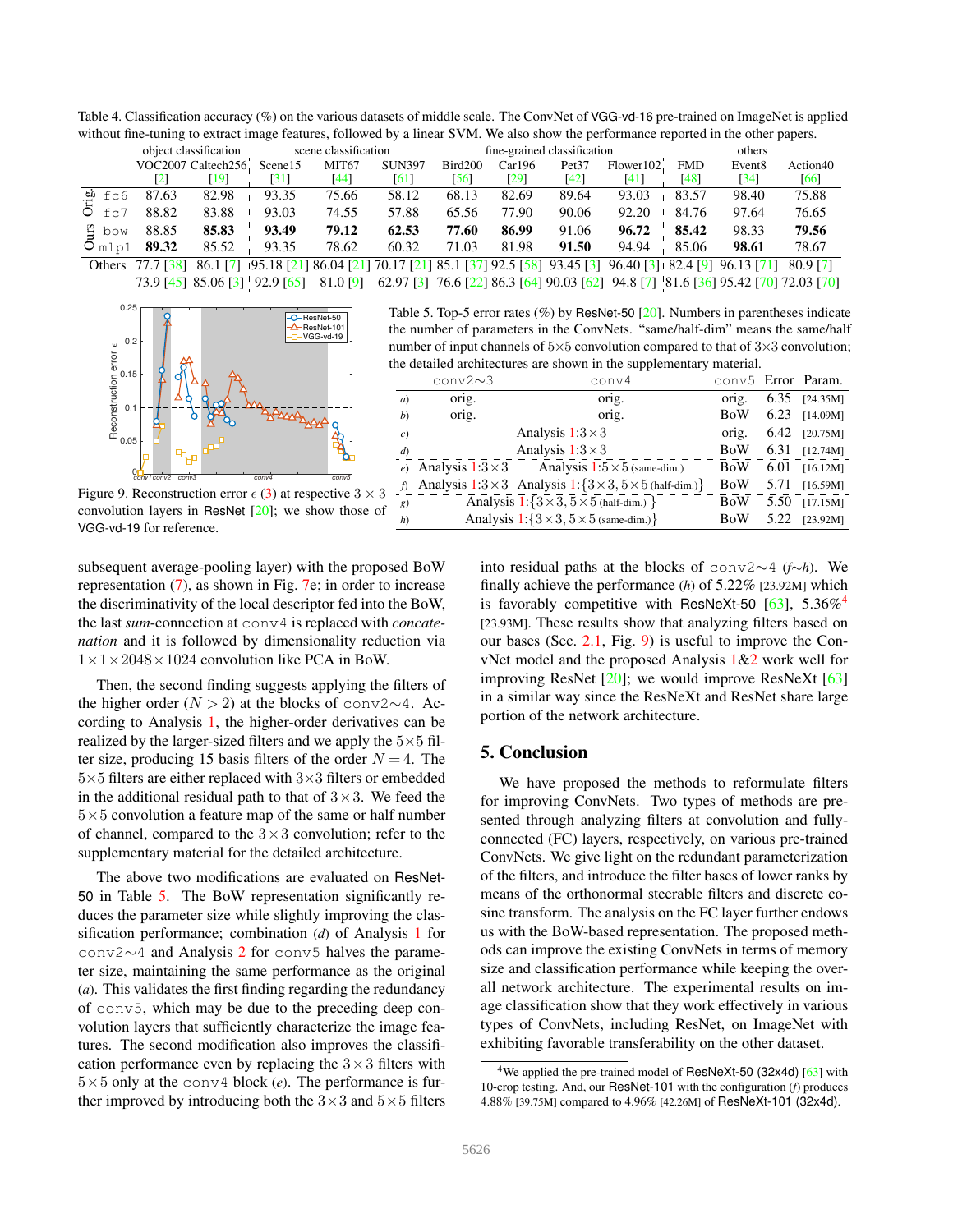<span id="page-7-1"></span>Table 4. Classification accuracy (%) on the various datasets of middle scale. The ConvNet of VGG-vd-16 pre-trained on ImageNet is applied without fine-tuning to extract image features, followed by a linear SVM. We also show the performance reported in the other papers.

|                   |                     | object classification |                                                                                                                                    | scene classification |               |         |        | fine-grained classification |            |            | others             |          |
|-------------------|---------------------|-----------------------|------------------------------------------------------------------------------------------------------------------------------------|----------------------|---------------|---------|--------|-----------------------------|------------|------------|--------------------|----------|
|                   |                     | VOC2007 Caltech256.   | Scene15                                                                                                                            | MIT <sub>67</sub>    | <b>SUN397</b> | Bird200 | Car196 | Pet <sub>37</sub>           | Flower102. | <b>FMD</b> | Event <sub>8</sub> | Action40 |
|                   | $\lfloor 2 \rfloor$ | $\lceil 19 \rceil$    | [31]                                                                                                                               | [44]                 | [61]          | [56]    | [29]   | [42]                        | [41]       | $[48]$     | [34]               | [66]     |
| $\mathbf{a}$ fc6  | 87.63               | 82.98                 | 93.35                                                                                                                              | 75.66                | 58.12         | 68.13   | 82.69  | 89.64                       | 93.03      | 83.57      | 98.40              | 75.88    |
| $O$ fc7           | 88.82               | 83.88                 | 93.03                                                                                                                              | 74.55                | 57.88         | 65.56   | 77.90  | 90.06                       | 92.20      | 84.76      | 97.64              | 76.65    |
| $\frac{8}{4}$ bow | 88.85               | 85.83                 | 93.49                                                                                                                              | 79.12                | 62.53         | 77.60   | 86.99  | 91.06                       | 96.72      | 85.42      | 98.33              | 79.56    |
| $O_{m1p1}$        | 89.32               | 85.52                 | 93.35                                                                                                                              | 78.62                | 60.32         | 71.03   | 81.98  | 91.50                       | 94.94      | 85.06      | 98.61              | 78.67    |
|                   |                     |                       | Others 77.7 [38] 86.1 [7] 195.18 [21] 86.04 [21] 70.17 [21] 185.1 [37] 92.5 [58] 93.45 [3] 96.40 [3] 182.4 [9] 96.13 [71] 80.9 [7] |                      |               |         |        |                             |            |            |                    |          |
|                   |                     |                       | 73.9 [45] 85.06 [3] 92.9 [65] 81.0 [9] 62.97 [3] 76.6 [22] 86.3 [64] 90.03 [62] 94.8 [7] 81.6 [36] 95.42 [70] 72.03 [70]           |                      |               |         |        |                             |            |            |                    |          |



<span id="page-7-2"></span>Figure 9. Reconstruction error  $\epsilon$  [\(3\)](#page-1-5) at respective  $3 \times 3$ convolution layers in ResNet [\[20\]](#page-8-5); we show those of VGG-vd-19 for reference.

subsequent average-pooling layer) with the proposed BoW representation [\(7\)](#page-4-5), as shown in Fig. [7e](#page-6-1); in order to increase the discriminativity of the local descriptor fed into the BoW, the last *sum*-connection at conv4 is replaced with *concatenation* and it is followed by dimensionality reduction via  $1 \times 1 \times 2048 \times 1024$  convolution like PCA in BoW.

Then, the second finding suggests applying the filters of the higher order ( $N > 2$ ) at the blocks of conv2∼4. According to Analysis [1,](#page-2-2) the higher-order derivatives can be realized by the larger-sized filters and we apply the  $5\times 5$  filter size, producing 15 basis filters of the order  $N = 4$ . The 5×5 filters are either replaced with 3×3 filters or embedded in the additional residual path to that of  $3 \times 3$ . We feed the  $5\times5$  convolution a feature map of the same or half number of channel, compared to the  $3 \times 3$  convolution; refer to the supplementary material for the detailed architecture.

The above two modifications are evaluated on ResNet-50 in Table [5.](#page-7-0) The BoW representation significantly reduces the parameter size while slightly improving the classification performance; combination (*d*) of Analysis [1](#page-2-2) for conv2∼4 and Analysis [2](#page-4-8) for conv5 halves the parameter size, maintaining the same performance as the original (*a*). This validates the first finding regarding the redundancy of conv5, which may be due to the preceding deep convolution layers that sufficiently characterize the image features. The second modification also improves the classification performance even by replacing the  $3 \times 3$  filters with  $5\times5$  only at the conv4 block (*e*). The performance is further improved by introducing both the  $3 \times 3$  and  $5 \times 5$  filters

<span id="page-7-0"></span>Table 5. Top-5 error rates (%) by ResNet-50 [\[20\]](#page-8-5). Numbers in parentheses indicate the number of parameters in the ConvNets. "same/half-dim" means the same/half number of input channels of  $5\times5$  convolution compared to that of  $3\times3$  convolution; the detailed architectures are shown in the supplementary material.

|                | conv $2\sim$ 3 | conv <sub>4</sub>                                                                 | conv5 Error Param. |      |                 |
|----------------|----------------|-----------------------------------------------------------------------------------|--------------------|------|-----------------|
| a)             | orig.          | orig.                                                                             | orig.              |      | $6.35$ [24.35M] |
| b)             | orig.          | orig.                                                                             | <b>BoW</b>         | 6.23 | $[14.09M]$      |
| $\epsilon$ )   |                | Analysis $1:3\times3$                                                             | orig.              |      | $6.42$ [20.75M] |
| $\overline{d}$ |                | Analysis $1:3\times3$                                                             | BoW                | 6.31 | $[12.74M]$      |
|                |                | e) Analysis $1:3\times3$ Analysis $1:5\times5$ (same-dim.)                        | <b>BoW</b>         | 6.01 | [16.12M]        |
|                |                | f) Analysis $1:3\times3$ Analysis $1:\{3\times3, 5\times5 \text{ (half-dim.)}\}\$ | <b>BoW</b>         | 5.71 | $[16.59M]$      |
| g)             |                | Analysis $1:\{3\times3, 5\times5 \text{ (half-dim.) }\}$                          | <b>BoW</b>         | 5.50 | [17.15M]        |
| h)             |                | Analysis $1:\{3\times3, 5\times5 \text{ (same-dim.)}\}\$                          | <b>BoW</b>         | 5.22 | [23.92M]        |

into residual paths at the blocks of conv2∼4 (*f*∼*h*). We finally achieve the performance (*h*) of 5.22% [23.92M] which is favorably competitive with ResNeXt-50  $[63]$ , 5.36%<sup>[4](#page-7-3)</sup> [23.93M]. These results show that analyzing filters based on our bases (Sec. [2.1,](#page-1-3) Fig. [9\)](#page-7-2) is useful to improve the ConvNet model and the proposed Analysis [1](#page-2-2)[&2](#page-4-8) work well for improving ResNet [\[20\]](#page-8-5); we would improve ResNeXt [\[63\]](#page-9-4) in a similar way since the ResNeXt and ResNet share large portion of the network architecture.

# 5. Conclusion

We have proposed the methods to reformulate filters for improving ConvNets. Two types of methods are presented through analyzing filters at convolution and fullyconnected (FC) layers, respectively, on various pre-trained ConvNets. We give light on the redundant parameterization of the filters, and introduce the filter bases of lower ranks by means of the orthonormal steerable filters and discrete cosine transform. The analysis on the FC layer further endows us with the BoW-based representation. The proposed methods can improve the existing ConvNets in terms of memory size and classification performance while keeping the overall network architecture. The experimental results on image classification show that they work effectively in various types of ConvNets, including ResNet, on ImageNet with exhibiting favorable transferability on the other dataset.

<span id="page-7-3"></span><sup>&</sup>lt;sup>4</sup>We applied the pre-trained model of ResNeXt-50 (32x4d) [\[63\]](#page-9-4) with 10-crop testing. And, our ResNet-101 with the configuration (*f*) produces 4.88% [39.75M] compared to 4.96% [42.26M] of ResNeXt-101 (32x4d).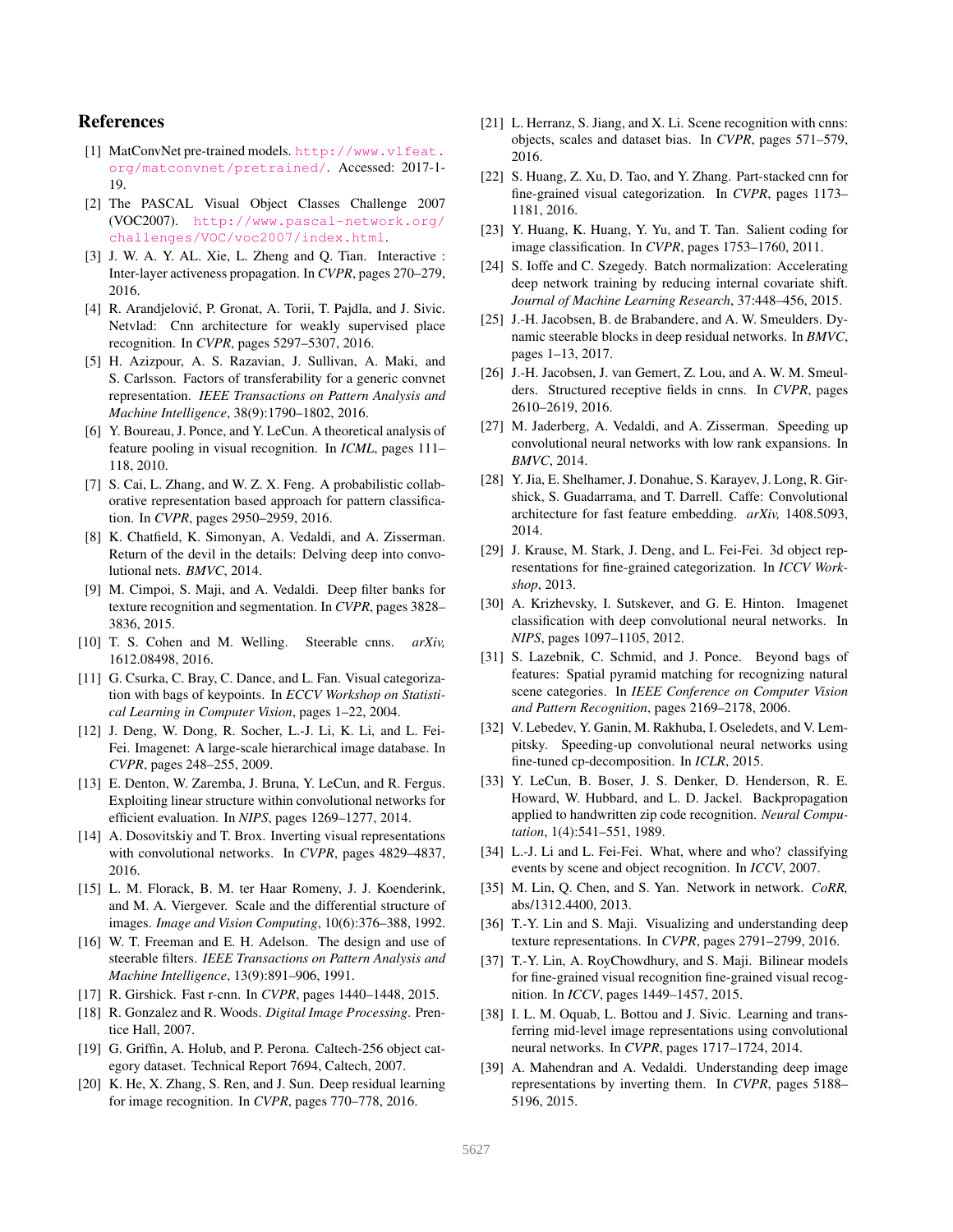## References

- <span id="page-8-12"></span>[1] MatConvNet pre-trained models. [http://www.vlfeat.](http://www.vlfeat.org/matconvnet/pretrained/) [org/matconvnet/pretrained/](http://www.vlfeat.org/matconvnet/pretrained/). Accessed: 2017-1- 19.
- <span id="page-8-30"></span>[2] The PASCAL Visual Object Classes Challenge 2007 (VOC2007). [http://www.pascal-network.org/](http://www.pascal-network.org/challenges/VOC/voc2007/index.html) [challenges/VOC/voc2007/index.html](http://www.pascal-network.org/challenges/VOC/voc2007/index.html).
- <span id="page-8-9"></span>[3] J. W. A. Y. AL. Xie, L. Zheng and Q. Tian. Interactive : Inter-layer activeness propagation. In *CVPR*, pages 270–279, 2016.
- <span id="page-8-26"></span>[4] R. Arandjelović, P. Gronat, A. Torii, T. Pajdla, and J. Sivic. Netvlad: Cnn architecture for weakly supervised place recognition. In *CVPR*, pages 5297–5307, 2016.
- <span id="page-8-28"></span>[5] H. Azizpour, A. S. Razavian, J. Sullivan, A. Maki, and S. Carlsson. Factors of transferability for a generic convnet representation. *IEEE Transactions on Pattern Analysis and Machine Intelligence*, 38(9):1790–1802, 2016.
- <span id="page-8-24"></span>[6] Y. Boureau, J. Ponce, and Y. LeCun. A theoretical analysis of feature pooling in visual recognition. In *ICML*, pages 111– 118, 2010.
- <span id="page-8-35"></span>[7] S. Cai, L. Zhang, and W. Z. X. Feng. A probabilistic collaborative representation based approach for pattern classification. In *CVPR*, pages 2950–2959, 2016.
- <span id="page-8-2"></span>[8] K. Chatfield, K. Simonyan, A. Vedaldi, and A. Zisserman. Return of the devil in the details: Delving deep into convolutional nets. *BMVC*, 2014.
- <span id="page-8-25"></span>[9] M. Cimpoi, S. Maji, and A. Vedaldi. Deep filter banks for texture recognition and segmentation. In *CVPR*, pages 3828– 3836, 2015.
- <span id="page-8-15"></span>[10] T. S. Cohen and M. Welling. Steerable cnns. *arXiv,* 1612.08498, 2016.
- <span id="page-8-22"></span>[11] G. Csurka, C. Bray, C. Dance, and L. Fan. Visual categorization with bags of keypoints. In *ECCV Workshop on Statistical Learning in Computer Vision*, pages 1–22, 2004.
- <span id="page-8-3"></span>[12] J. Deng, W. Dong, R. Socher, L.-J. Li, K. Li, and L. Fei-Fei. Imagenet: A large-scale hierarchical image database. In *CVPR*, pages 248–255, 2009.
- <span id="page-8-19"></span>[13] E. Denton, W. Zaremba, J. Bruna, Y. LeCun, and R. Fergus. Exploiting linear structure within convolutional networks for efficient evaluation. In *NIPS*, pages 1269–1277, 2014.
- <span id="page-8-8"></span>[14] A. Dosovitskiy and T. Brox. Inverting visual representations with convolutional networks. In *CVPR*, pages 4829–4837, 2016.
- <span id="page-8-10"></span>[15] L. M. Florack, B. M. ter Haar Romeny, J. J. Koenderink, and M. A. Viergever. Scale and the differential structure of images. *Image and Vision Computing*, 10(6):376–388, 1992.
- <span id="page-8-11"></span>[16] W. T. Freeman and E. H. Adelson. The design and use of steerable filters. *IEEE Transactions on Pattern Analysis and Machine Intelligence*, 13(9):891–906, 1991.
- <span id="page-8-27"></span>[17] R. Girshick. Fast r-cnn. In *CVPR*, pages 1440–1448, 2015.
- <span id="page-8-20"></span>[18] R. Gonzalez and R. Woods. *Digital Image Processing*. Prentice Hall, 2007.
- <span id="page-8-31"></span>[19] G. Griffin, A. Holub, and P. Perona. Caltech-256 object category dataset. Technical Report 7694, Caltech, 2007.
- <span id="page-8-5"></span>[20] K. He, X. Zhang, S. Ren, and J. Sun. Deep residual learning for image recognition. In *CVPR*, pages 770–778, 2016.
- <span id="page-8-36"></span>[21] L. Herranz, S. Jiang, and X. Li. Scene recognition with cnns: objects, scales and dataset bias. In *CVPR*, pages 571–579, 2016.
- <span id="page-8-38"></span>[22] S. Huang, Z. Xu, D. Tao, and Y. Zhang. Part-stacked cnn for fine-grained visual categorization. In *CVPR*, pages 1173– 1181, 2016.
- <span id="page-8-23"></span>[23] Y. Huang, K. Huang, Y. Yu, and T. Tan. Salient coding for image classification. In *CVPR*, pages 1753–1760, 2011.
- <span id="page-8-4"></span>[24] S. Ioffe and C. Szegedy. Batch normalization: Accelerating deep network training by reducing internal covariate shift. *Journal of Machine Learning Research*, 37:448–456, 2015.
- <span id="page-8-14"></span>[25] J.-H. Jacobsen, B. de Brabandere, and A. W. Smeulders. Dynamic steerable blocks in deep residual networks. In *BMVC*, pages 1–13, 2017.
- <span id="page-8-16"></span>[26] J.-H. Jacobsen, J. van Gemert, Z. Lou, and A. W. M. Smeulders. Structured receptive fields in cnns. In *CVPR*, pages 2610–2619, 2016.
- <span id="page-8-17"></span>[27] M. Jaderberg, A. Vedaldi, and A. Zisserman. Speeding up convolutional neural networks with low rank expansions. In *BMVC*, 2014.
- <span id="page-8-21"></span>[28] Y. Jia, E. Shelhamer, J. Donahue, S. Karayev, J. Long, R. Girshick, S. Guadarrama, and T. Darrell. Caffe: Convolutional architecture for fast feature embedding. *arXiv,* 1408.5093, 2014.
- <span id="page-8-33"></span>[29] J. Krause, M. Stark, J. Deng, and L. Fei-Fei. 3d object representations for fine-grained categorization. In *ICCV Workshop*, 2013.
- <span id="page-8-1"></span>[30] A. Krizhevsky, I. Sutskever, and G. E. Hinton. Imagenet classification with deep convolutional neural networks. In *NIPS*, pages 1097–1105, 2012.
- <span id="page-8-32"></span>[31] S. Lazebnik, C. Schmid, and J. Ponce. Beyond bags of features: Spatial pyramid matching for recognizing natural scene categories. In *IEEE Conference on Computer Vision and Pattern Recognition*, pages 2169–2178, 2006.
- <span id="page-8-18"></span>[32] V. Lebedev, Y. Ganin, M. Rakhuba, I. Oseledets, and V. Lempitsky. Speeding-up convolutional neural networks using fine-tuned cp-decomposition. In *ICLR*, 2015.
- <span id="page-8-0"></span>[33] Y. LeCun, B. Boser, J. S. Denker, D. Henderson, R. E. Howard, W. Hubbard, and L. D. Jackel. Backpropagation applied to handwritten zip code recognition. *Neural Computation*, 1(4):541–551, 1989.
- <span id="page-8-34"></span>[34] L.-J. Li and L. Fei-Fei. What, where and who? classifying events by scene and object recognition. In *ICCV*, 2007.
- <span id="page-8-13"></span>[35] M. Lin, Q. Chen, and S. Yan. Network in network. *CoRR,* abs/1312.4400, 2013.
- <span id="page-8-6"></span>[36] T.-Y. Lin and S. Maji. Visualizing and understanding deep texture representations. In *CVPR*, pages 2791–2799, 2016.
- <span id="page-8-37"></span>[37] T.-Y. Lin, A. RoyChowdhury, and S. Maji. Bilinear models for fine-grained visual recognition fine-grained visual recognition. In *ICCV*, pages 1449–1457, 2015.
- <span id="page-8-29"></span>[38] I. L. M. Oquab, L. Bottou and J. Sivic. Learning and transferring mid-level image representations using convolutional neural networks. In *CVPR*, pages 1717–1724, 2014.
- <span id="page-8-7"></span>[39] A. Mahendran and A. Vedaldi. Understanding deep image representations by inverting them. In *CVPR*, pages 5188– 5196, 2015.